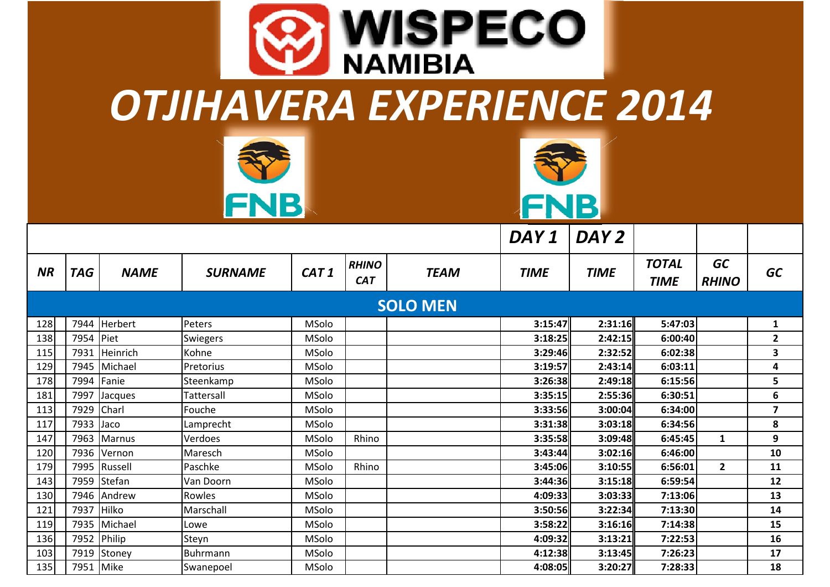| <b>WISPECO</b><br><b>NAMIBIA</b> |                            |                            |                   |                  |                            |                 |                    |                    |                             |                           |                         |  |
|----------------------------------|----------------------------|----------------------------|-------------------|------------------|----------------------------|-----------------|--------------------|--------------------|-----------------------------|---------------------------|-------------------------|--|
|                                  | OTJIHAVERA EXPERIENCE 2014 |                            |                   |                  |                            |                 |                    |                    |                             |                           |                         |  |
|                                  |                            |                            | FNB               |                  |                            |                 | FNB                |                    |                             |                           |                         |  |
|                                  |                            |                            |                   |                  |                            |                 | DAY 1              | DAY <sub>2</sub>   |                             |                           |                         |  |
| NR                               | <b>TAG</b>                 | <b>NAME</b>                | <b>SURNAME</b>    | CAT <sub>1</sub> | <b>RHINO</b><br><b>CAT</b> | <b>TEAM</b>     | <b>TIME</b>        | <b>TIME</b>        | <b>TOTAL</b><br><b>TIME</b> | <b>GC</b><br><b>RHINO</b> | <b>GC</b>               |  |
|                                  |                            |                            |                   |                  |                            | <b>SOLO MEN</b> |                    |                    |                             |                           |                         |  |
| 128                              | 7944                       | <b>Herbert</b>             | Peters            | MSolo            |                            |                 | 3:15:47            | 2:31:16            | 5:47:03                     |                           | 1                       |  |
| 138                              | 7954                       |                            |                   |                  |                            |                 |                    |                    |                             |                           |                         |  |
|                                  |                            | Piet                       | Swiegers          | MSolo            |                            |                 | 3:18:25            | 2:42:15            | 6:00:40                     |                           | $\overline{2}$          |  |
| 115                              | 7931                       | Heinrich                   | Kohne             | MSolo            |                            |                 | 3:29:46            | 2:32:52            | 6:02:38                     |                           | 3                       |  |
| 129                              | 7945                       | Michael                    | Pretorius         | MSolo            |                            |                 | 3:19:57            | 2:43:14            | 6:03:11                     |                           | $\overline{\mathbf{4}}$ |  |
| 178                              | 7994                       | Fanie                      | Steenkamp         | MSolo            |                            |                 | 3:26:38            | 2:49:18            | 6:15:56                     |                           | 5                       |  |
| 181                              | 7997                       | Jacques                    | Tattersall        | MSolo            |                            |                 | 3:35:15            | 2:55:36            | 6:30:51                     |                           | 6                       |  |
| 113                              | 7929                       | Charl                      | Fouche            | MSolo            |                            |                 | 3:33:56            | 3:00:04            | 6:34:00                     |                           | $\overline{\mathbf{z}}$ |  |
| 117                              | 7933                       | Jaco                       | Lamprecht         | MSolo            |                            |                 | 3:31:38            | 3:03:18            | 6:34:56                     |                           | 8                       |  |
| 147                              |                            | 7963 Marnus                | Verdoes           | MSolo            | Rhino                      |                 | 3:35:58            | 3:09:48            | 6:45:45                     | $\mathbf{1}$              | 9                       |  |
| 120                              |                            | 7936 Vernon                | Maresch           | MSolo            |                            |                 | 3:43:44            | 3:02:16            | 6:46:00                     |                           | 10                      |  |
| 179                              |                            | 7995 Russell               | Paschke           | MSolo            | Rhino                      |                 | 3:45:06            | 3:10:55            | 6:56:01                     | $\overline{2}$            | 11                      |  |
| 143                              |                            | 7959 Stefan                | Van Doorn         | MSolo            |                            |                 | 3:44:36            | 3:15:18            | 6:59:54                     |                           | 12                      |  |
| 130                              | 7946                       | Andrew                     | Rowles            | MSolo            |                            |                 | 4:09:33            | 3:03:33            | 7:13:06                     |                           | 13                      |  |
| 121                              | 7937                       | Hilko                      | Marschall         | MSolo            |                            |                 | 3:50:56            | 3:22:34            | 7:13:30                     |                           | 14                      |  |
| 119                              | 7935                       | Michael                    | Lowe              | MSolo            |                            |                 | 3:58:22            | 3:16:16            | 7:14:38                     |                           | 15                      |  |
| 136<br>103                       |                            | 7952 Philip<br>7919 Stoney | Steyn<br>Buhrmann | MSolo<br>MSolo   |                            |                 | 4:09:32<br>4:12:38 | 3:13:21<br>3:13:45 | 7:22:53<br>7:26:23          |                           | 16<br>17                |  |

135 7951 Mike Swanepoel MSolo **4:08:05 3:20:27 7:28:33 18**

128

138

178

181

113

117

147

120

179

143

130

121

119

136

103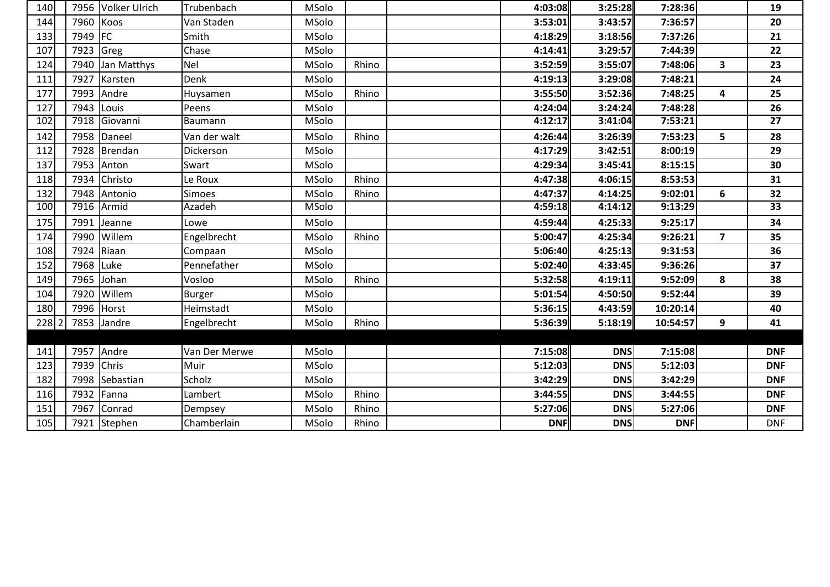| 140      |            | 7956 Volker Ulrich | Trubenbach    | MSolo        |       | 4:03:08    | 3:25:28    | 7:28:36    |                | 19              |
|----------|------------|--------------------|---------------|--------------|-------|------------|------------|------------|----------------|-----------------|
| 144      | 7960 Koos  |                    | Van Staden    | MSolo        |       | 3:53:01    | 3:43:57    | 7:36:57    |                | 20              |
| 133      | 7949 FC    |                    | Smith         | <b>MSolo</b> |       | 4:18:29    | 3:18:56    | 7:37:26    |                | 21              |
| 107      | 7923 Greg  |                    | Chase         | <b>MSolo</b> |       | 4:14:41    | 3:29:57    | 7:44:39    |                | 22              |
| 124      |            | 7940 Jan Matthys   | Nel           | MSolo        | Rhino | 3:52:59    | 3:55:07    | 7:48:06    | $\mathbf{3}$   | 23              |
| 111      | 7927       | Karsten            | Denk          | <b>MSolo</b> |       | 4:19:13    | 3:29:08    | 7:48:21    |                | 24              |
| 177      |            | 7993 Andre         | Huysamen      | MSolo        | Rhino | 3:55:50    | 3:52:36    | 7:48:25    | 4              | 25              |
| 127      | 7943 Louis |                    | Peens         | <b>MSolo</b> |       | 4:24:04    | 3:24:24    | 7:48:28    |                | 26              |
| 102      |            | 7918 Giovanni      | Baumann       | MSolo        |       | 4:12:17    | 3:41:04    | 7:53:21    |                | $\overline{27}$ |
| 142      |            | 7958 Daneel        | Van der walt  | <b>MSolo</b> | Rhino | 4:26:44    | 3:26:39    | 7:53:23    | 5              | 28              |
| 112      |            | 7928 Brendan       | Dickerson     | MSolo        |       | 4:17:29    | 3:42:51    | 8:00:19    |                | 29              |
| 137      | 7953       | Anton              | Swart         | MSolo        |       | 4:29:34    | 3:45:41    | 8:15:15    |                | 30              |
| 118      | 7934       | Christo            | Le Roux       | MSolo        | Rhino | 4:47:38    | 4:06:15    | 8:53:53    |                | 31              |
| 132      | 7948       | Antonio            | <b>Simoes</b> | <b>MSolo</b> | Rhino | 4:47:37    | 4:14:25    | 9:02:01    | 6              | 32              |
| 100      |            | 7916 Armid         | Azadeh        | <b>MSolo</b> |       | 4:59:18    | 4:14:12    | 9:13:29    |                | $\overline{33}$ |
| 175      | 7991       | Jeanne             | Lowe          | MSolo        |       | 4:59:44    | 4:25:33    | 9:25:17    |                | 34              |
| 174      | 7990       | Willem             | Engelbrecht   | MSolo        | Rhino | 5:00:47    | 4:25:34    | 9:26:21    | $\overline{7}$ | 35              |
| 108      | 7924       | Riaan              | Compaan       | MSolo        |       | 5:06:40    | 4:25:13    | 9:31:53    |                | 36              |
| 152      | 7968       | Luke               | Pennefather   | MSolo        |       | 5:02:40    | 4:33:45    | 9:36:26    |                | 37              |
| 149      | 7965       | Johan              | Vosloo        | MSolo        | Rhino | 5:32:58    | 4:19:11    | 9:52:09    | 8              | 38              |
| 104      | 7920       | Willem             | <b>Burger</b> | MSolo        |       | 5:01:54    | 4:50:50    | 9:52:44    |                | 39              |
| 180      |            | 7996 Horst         | Heimstadt     | MSolo        |       | 5:36:15    | 4:43:59    | 10:20:14   |                | 40              |
| $228$  2 |            | 7853 Jandre        | Engelbrecht   | MSolo        | Rhino | 5:36:39    | 5:18:19    | 10:54:57   | 9              | 41              |
|          |            |                    |               |              |       |            |            |            |                |                 |
| 141      |            | 7957 Andre         | Van Der Merwe | MSolo        |       | 7:15:08    | <b>DNS</b> | 7:15:08    |                | <b>DNF</b>      |
| 123      | 7939 Chris |                    | Muir          | MSolo        |       | 5:12:03    | <b>DNS</b> | 5:12:03    |                | <b>DNF</b>      |
| 182      |            | 7998 Sebastian     | Scholz        | MSolo        |       | 3:42:29    | <b>DNS</b> | 3:42:29    |                | <b>DNF</b>      |
| 116      | 7932       | Fanna              | Lambert       | MSolo        | Rhino | 3:44:55    | <b>DNS</b> | 3:44:55    |                | <b>DNF</b>      |
| 151      | 7967       | Conrad             | Dempsey       | MSolo        | Rhino | 5:27:06    | <b>DNS</b> | 5:27:06    |                | <b>DNF</b>      |
| 105      |            | 7921 Stephen       | Chamberlain   | MSolo        | Rhino | <b>DNF</b> | <b>DNS</b> | <b>DNF</b> |                | <b>DNF</b>      |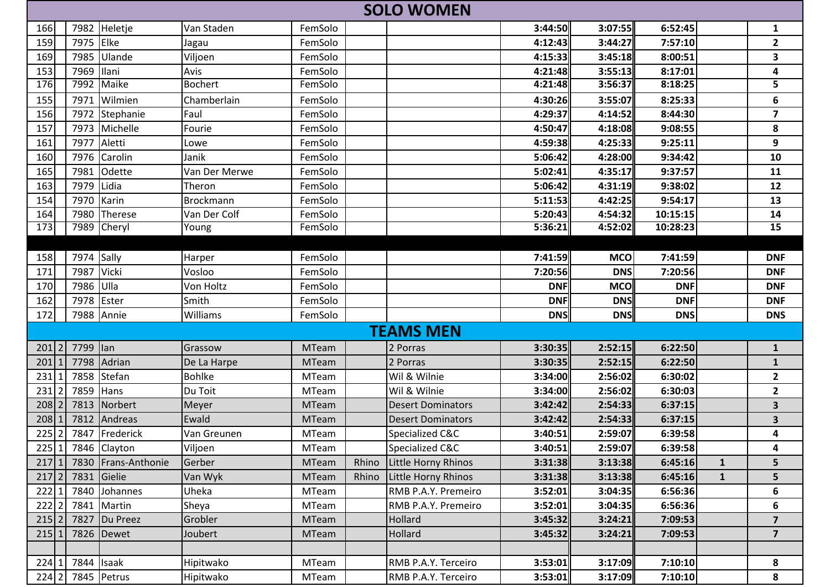|           | <b>SOLO WOMEN</b> |                     |                |              |       |                          |            |            |                       |              |                         |  |
|-----------|-------------------|---------------------|----------------|--------------|-------|--------------------------|------------|------------|-----------------------|--------------|-------------------------|--|
| 166       |                   | 7982 Heletje        | Van Staden     | FemSolo      |       |                          | 3:44:50    | 3:07:55    | 6:52:45               |              | 1                       |  |
| 159       | 7975              | Elke                | Jagau          | FemSolo      |       |                          | 4:12:43    | 3:44:27    | 7:57:10               |              | $\overline{2}$          |  |
| 169       | 7985              | Ulande              | Viljoen        | FemSolo      |       |                          | 4:15:33    | 3:45:18    | 8:00:51               |              | 3                       |  |
| 153       | 7969              | Ilani               | Avis           | FemSolo      |       |                          | 4:21:48    | 3:55:13    | 8:17:01               |              | 4                       |  |
| 176       |                   | 7992 Maike          | <b>Bochert</b> | FemSolo      |       |                          | 4:21:48    | 3:56:37    | 8:18:25               |              | $\overline{5}$          |  |
| 155       | 7971              | Wilmien             | Chamberlain    | FemSolo      |       |                          | 4:30:26    | 3:55:07    | 8:25:33               |              | 6                       |  |
| 156       | 7972              | Stephanie           | Faul           | FemSolo      |       |                          | 4:29:37    | 4:14:52    | 8:44:30               |              | $\overline{\mathbf{z}}$ |  |
| 157       | 7973              | Michelle            | Fourie         | FemSolo      |       |                          | 4:50:47    | 4:18:08    | 9:08:55               |              | 8                       |  |
| 161       | 7977              | Aletti              | Lowe           | FemSolo      |       |                          | 4:59:38    | 4:25:33    | 9:25:11               |              | 9                       |  |
| 160       | 7976              | Carolin             | Janik          | FemSolo      |       |                          | 5:06:42    | 4:28:00    | 9:34:42               |              | 10                      |  |
| 165       | 7981              | Odette              | Van Der Merwe  | FemSolo      |       |                          | 5:02:41    | 4:35:17    | 9:37:57               |              | 11                      |  |
| 163       | 7979              | Lidia               | Theron         | FemSolo      |       |                          | 5:06:42    | 4:31:19    | 9:38:02               |              | 12                      |  |
| 154       | 7970              | Karin               | Brockmann      | FemSolo      |       |                          | 5:11:53    | 4:42:25    | 9:54:17               |              | 13                      |  |
| 164       | 7980              | Therese             | Van Der Colf   | FemSolo      |       |                          | 5:20:43    | 4:54:32    | 10:15:15              |              | 14                      |  |
| 173       |                   | 7989 Cheryl         | Young          | FemSolo      |       |                          | 5:36:21    | 4:52:02    | $\overline{10:}28:23$ |              | 15                      |  |
|           |                   |                     |                |              |       |                          |            |            |                       |              |                         |  |
| 158       | 7974 Sally        |                     | Harper         | FemSolo      |       |                          | 7:41:59    | <b>MCO</b> | 7:41:59               |              | <b>DNF</b>              |  |
| 171       | 7987              | Vicki               | Vosloo         | FemSolo      |       |                          | 7:20:56    | <b>DNS</b> | 7:20:56               |              | <b>DNF</b>              |  |
| 170       | 7986              | Ulla                | Von Holtz      | FemSolo      |       |                          | <b>DNF</b> | <b>MCO</b> | <b>DNF</b>            |              | <b>DNF</b>              |  |
| 162       | 7978              | Ester               | Smith          | FemSolo      |       |                          | <b>DNF</b> | <b>DNS</b> | <b>DNF</b>            |              | <b>DNF</b>              |  |
| 172       |                   | 7988 Annie          | Williams       | FemSolo      |       |                          | <b>DNS</b> | <b>DNS</b> | <b>DNS</b>            |              | <b>DNS</b>              |  |
|           |                   |                     |                |              |       | <b>TEAMS MEN</b>         |            |            |                       |              |                         |  |
| 201 2     | 7799 lan          |                     | Grassow        | <b>MTeam</b> |       | 2 Porras                 | 3:30:35    | 2:52:15    | 6:22:50               |              | $\mathbf{1}$            |  |
| 201       | 7798              | Adrian              | De La Harpe    | <b>MTeam</b> |       | 2 Porras                 | 3:30:35    | 2:52:15    | 6:22:50               |              | $\mathbf{1}$            |  |
| 231       |                   | 7858 Stefan         | <b>Bohlke</b>  | <b>MTeam</b> |       | Wil & Wilnie             | 3:34:00    | 2:56:02    | 6:30:02               |              | $\mathbf{2}$            |  |
| 231       | 7859              | Hans                | Du Toit        | <b>MTeam</b> |       | Wil & Wilnie             | 3:34:00    | 2:56:02    | 6:30:03               |              | $\overline{2}$          |  |
| $208$   2 | 7813              | Norbert             | Meyer          | <b>MTeam</b> |       | <b>Desert Dominators</b> | 3:42:42    | 2:54:33    | 6:37:15               |              | 3                       |  |
| $208$   1 | 7812              | Andreas             | Ewald          | <b>MTeam</b> |       | <b>Desert Dominators</b> | 3:42:42    | 2:54:33    | 6:37:15               |              | 3                       |  |
| $225$   2 |                   | 7847 Frederick      | Van Greunen    | <b>MTeam</b> |       | Specialized C&C          | 3:40:51    | 2:59:07    | 6:39:58               |              | 4                       |  |
|           |                   | 225 1 7846 Clayton  | Viljoen        | MTeam        |       | Specialized C&C          | 3:40:51    | 2:59:07    | 6:39:58               |              | 4                       |  |
| 217       |                   | 7830 Frans-Anthonie | Gerber         | <b>MTeam</b> | Rhino | Little Horny Rhinos      | 3:31:38    | 3:13:38    | 6:45:16               | $\mathbf{1}$ | 5                       |  |
| $217$ 2   |                   | 7831 Gielie         | Van Wyk        | <b>MTeam</b> | Rhino | Little Horny Rhinos      | 3:31:38    | 3:13:38    | 6:45:16               | $\mathbf{1}$ | 5                       |  |
| 222   1   |                   | 7840 Johannes       | Uheka          | <b>MTeam</b> |       | RMB P.A.Y. Premeiro      | 3:52:01    | 3:04:35    | 6:56:36               |              | 6                       |  |
| $222$ 2   |                   | 7841 Martin         | Sheya          | MTeam        |       | RMB P.A.Y. Premeiro      | 3:52:01    | 3:04:35    | 6:56:36               |              | 6                       |  |
| $215$  2  | 7827              | Du Preez            | Grobler        | <b>MTeam</b> |       | Hollard                  | 3:45:32    | 3:24:21    | 7:09:53               |              | $\overline{\mathbf{z}}$ |  |
| 215 1     |                   | 7826 Dewet          | Joubert        | <b>MTeam</b> |       | Hollard                  | 3:45:32    | 3:24:21    | 7:09:53               |              | $\overline{7}$          |  |
|           |                   |                     |                |              |       |                          |            |            |                       |              |                         |  |
| 224 1     | 7844 Isaak        |                     | Hipitwako      | MTeam        |       | RMB P.A.Y. Terceiro      | 3:53:01    | 3:17:09    | 7:10:10               |              | 8                       |  |
|           | 224 2 7845 Petrus |                     | Hipitwako      | <b>MTeam</b> |       | RMB P.A.Y. Terceiro      | 3:53:01    | 3:17:09    | 7:10:10               |              | 8                       |  |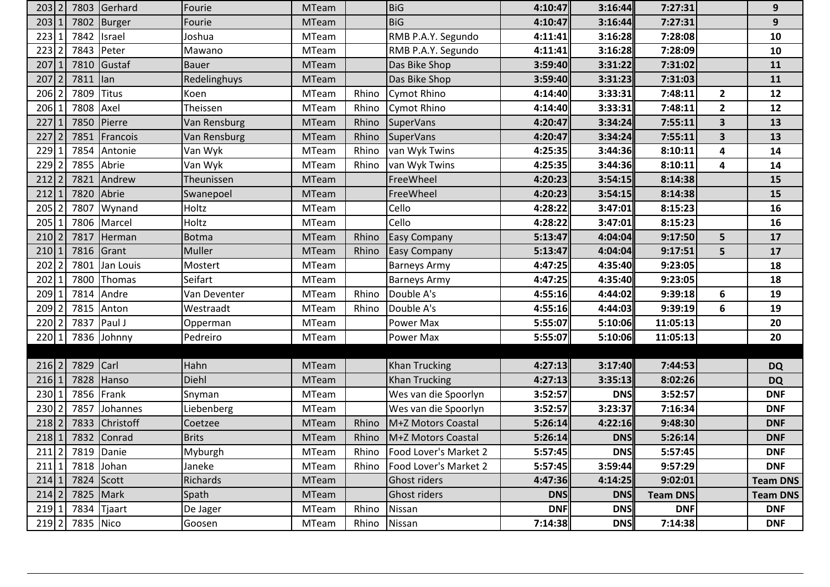| $203$ 2   |           | 7803 Gerhard | Fourie       | <b>MTeam</b> |       | <b>BiG</b>            | 4:10:47    | 3:16:44    | 7:27:31         |                         | 9               |
|-----------|-----------|--------------|--------------|--------------|-------|-----------------------|------------|------------|-----------------|-------------------------|-----------------|
| 203       | 7802      | Burger       | Fourie       | <b>MTeam</b> |       | <b>BiG</b>            | 4:10:47    | 3:16:44    | 7:27:31         |                         | 9               |
| 223       | 7842      | Israel       | Joshua       | <b>MTeam</b> |       | RMB P.A.Y. Segundo    | 4:11:41    | 3:16:28    | 7:28:08         |                         | 10              |
| 223       | 7843      | Peter        | Mawano       | <b>MTeam</b> |       | RMB P.A.Y. Segundo    | 4:11:41    | 3:16:28    | 7:28:09         |                         | 10              |
| 207       | 7810      | Gustaf       | <b>Bauer</b> | <b>MTeam</b> |       | Das Bike Shop         | 3:59:40    | 3:31:22    | 7:31:02         |                         | 11              |
| 207       | 7811      | $\vert$ lan  | Redelinghuys | <b>MTeam</b> |       | Das Bike Shop         | 3:59:40    | 3:31:23    | 7:31:03         |                         | 11              |
| 206       | 7809      | Titus        | Koen         | <b>MTeam</b> | Rhino | Cymot Rhino           | 4:14:40    | 3:33:31    | 7:48:11         | $\overline{2}$          | 12              |
| 206       | 7808 Axel |              | Theissen     | MTeam        | Rhino | Cymot Rhino           | 4:14:40    | 3:33:31    | 7:48:11         | $\mathbf{2}$            | 12              |
| 227       | 7850      | Pierre       | Van Rensburg | <b>MTeam</b> | Rhino | <b>SuperVans</b>      | 4:20:47    | 3:34:24    | 7:55:11         | $\mathbf{3}$            | 13              |
| 227       | 7851      | Francois     | Van Rensburg | <b>MTeam</b> | Rhino | <b>SuperVans</b>      | 4:20:47    | 3:34:24    | 7:55:11         | $\overline{\mathbf{3}}$ | 13              |
| 229       |           | 7854 Antonie | Van Wyk      | <b>MTeam</b> | Rhino | van Wyk Twins         | 4:25:35    | 3:44:36    | 8:10:11         | 4                       | 14              |
| 229       |           | 7855 Abrie   | Van Wyk      | <b>MTeam</b> | Rhino | van Wyk Twins         | 4:25:35    | 3:44:36    | 8:10:11         | 4                       | 14              |
| 212       |           | 7821 Andrew  | Theunissen   | <b>MTeam</b> |       | FreeWheel             | 4:20:23    | 3:54:15    | 8:14:38         |                         | 15              |
| 212       | 7820      | Abrie        | Swanepoel    | <b>MTeam</b> |       | FreeWheel             | 4:20:23    | 3:54:15    | 8:14:38         |                         | 15              |
| 205       | 7807      | Wynand       | Holtz        | <b>MTeam</b> |       | Cello                 | 4:28:22    | 3:47:01    | 8:15:23         |                         | 16              |
| 205       |           | 7806 Marcel  | Holtz        | <b>MTeam</b> |       | Cello                 | 4:28:22    | 3:47:01    | 8:15:23         |                         | 16              |
| 210       | 7817      | Herman       | Botma        | <b>MTeam</b> | Rhino | <b>Easy Company</b>   | 5:13:47    | 4:04:04    | 9:17:50         | 5 <sup>1</sup>          | 17              |
| 210       | 7816      | Grant        | Muller       | <b>MTeam</b> | Rhino | <b>Easy Company</b>   | 5:13:47    | 4:04:04    | 9:17:51         | 5                       | 17              |
| 202       | 7801      | Jan Louis    | Mostert      | <b>MTeam</b> |       | <b>Barneys Army</b>   | 4:47:25    | 4:35:40    | 9:23:05         |                         | 18              |
| 202       | 7800      | Thomas       | Seifart      | <b>MTeam</b> |       | <b>Barneys Army</b>   | 4:47:25    | 4:35:40    | 9:23:05         |                         | 18              |
| 209       | 7814      | Andre        | Van Deventer | MTeam        | Rhino | Double A's            | 4:55:16    | 4:44:02    | 9:39:18         | 6                       | 19              |
| 209       |           | 7815 Anton   | Westraadt    | <b>MTeam</b> | Rhino | Double A's            | 4:55:16    | 4:44:03    | 9:39:19         | 6                       | 19              |
| 220       |           | 7837 Paul J  | Opperman     | <b>MTeam</b> |       | Power Max             | 5:55:07    | 5:10:06    | 11:05:13        |                         | 20              |
| 220 1     |           | 7836 Johnny  | Pedreiro     | <b>MTeam</b> |       | Power Max             | 5:55:07    | 5:10:06    | 11:05:13        |                         | 20              |
|           |           |              |              |              |       |                       |            |            |                 |                         |                 |
| 216 2     | 7829      | Carl         | Hahn         | <b>MTeam</b> |       | <b>Khan Trucking</b>  | 4:27:13    | 3:17:40    | 7:44:53         |                         | <b>DQ</b>       |
| $216$   1 | 7828      | Hanso        | Diehl        | <b>MTeam</b> |       | <b>Khan Trucking</b>  | 4:27:13    | 3:35:13    | 8:02:26         |                         | <b>DQ</b>       |
| 230       |           | 7856 Frank   | Snyman       | <b>MTeam</b> |       | Wes van die Spoorlyn  | 3:52:57    | <b>DNS</b> | 3:52:57         |                         | <b>DNF</b>      |
| 230       | 7857      | Johannes     | Liebenberg   | <b>MTeam</b> |       | Wes van die Spoorlyn  | 3:52:57    | 3:23:37    | 7:16:34         |                         | <b>DNF</b>      |
| 218       | 7833      | Christoff    | Coetzee      | <b>MTeam</b> | Rhino | M+Z Motors Coastal    | 5:26:14    | 4:22:16    | 9:48:30         |                         | <b>DNF</b>      |
| $218$   1 |           | 7832 Conrad  | <b>Brits</b> | <b>MTeam</b> | Rhino | M+Z Motors Coastal    | 5:26:14    | <b>DNS</b> | 5:26:14         |                         | <b>DNF</b>      |
| $211$  2  |           | 7819 Danie   | Myburgh      | MTeam        | Rhino | Food Lover's Market 2 | 5:57:45    | <b>DNS</b> | 5:57:45         |                         | <b>DNF</b>      |
| 211 1     |           | 7818 Johan   | Janeke       | MTeam        | Rhino | Food Lover's Market 2 | 5:57:45    | 3:59:44    | 9:57:29         |                         | <b>DNF</b>      |
| 214 1     |           | 7824 Scott   | Richards     | <b>MTeam</b> |       | Ghost riders          | 4:47:36    | 4:14:25    | 9:02:01         |                         | <b>Team DNS</b> |
| $214$  2  |           | 7825 Mark    | Spath        | MTeam        |       | Ghost riders          | <b>DNS</b> | <b>DNS</b> | <b>Team DNS</b> |                         | <b>Team DNS</b> |
| $219$ 1   | 7834      | Tjaart       | De Jager     | MTeam        | Rhino | Nissan                | <b>DNF</b> | <b>DNS</b> | <b>DNF</b>      |                         | <b>DNF</b>      |
| $219$   2 | 7835 Nico |              | Goosen       | <b>MTeam</b> | Rhino | Nissan                | 7:14:38    | <b>DNS</b> | 7:14:38         |                         | <b>DNF</b>      |